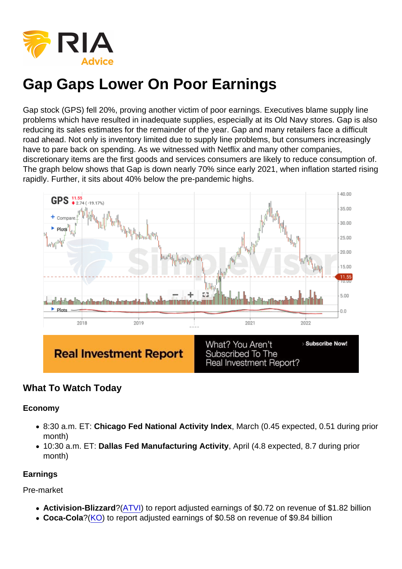Gap stock (GPS) fell 20%, proving another victim of poor earnings. Executives blame supply line problems which have resulted in inadequate supplies, especially at its Old Navy stores. Gap is also reducing its sales estimates for the remainder of the year. Gap and many retailers face a difficult road ahead. Not only is inventory limited due to supply line problems, but consumers increasingly have to pare back on spending. As we witnessed with Netflix and many other companies, discretionary items are the first goods and services consumers are likely to reduce consumption of. The graph below shows that Gap is down nearly 70% since early 2021, when inflation started rising rapidly. Further, it sits about 40% below the pre-pandemic highs.

# What To Watch Today

Economy

- 8:30 a.m. ET: Chicago Fed National Activity Index , March (0.45 expected, 0.51 during prior month)
- 10:30 a.m. ET: Dallas Fed Manufacturing Activity , April (4.8 expected, 8.7 during prior month)

**Earnings** 

Pre-market

- Activision-Blizzard ?[\(ATVI\)](https://finance.yahoo.com/quote/ATVI?p=ATVI&.tsrc=fin-srch) to report adjusted earnings of \$0.72 on revenue of \$1.82 billion
- Coca-Cola ?[\(KO](https://finance.yahoo.com/quote/KO?p=KO&.tsrc=fin-srch)) to report adjusted earnings of \$0.58 on revenue of \$9.84 billion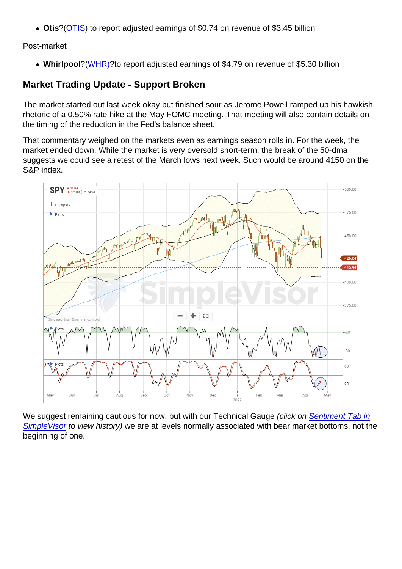Otis ?[\(OTIS](https://finance.yahoo.com/quote/OTIS?p=OTIS&.tsrc=fin-srch)) to report adjusted earnings of \$0.74 on revenue of \$3.45 billion

Post-market

• Whirlpool ?[\(WHR\)?](https://finance.yahoo.com/quote/WHR?p=WHR&.tsrc=fin-srch) to report adjusted earnings of \$4.79 on revenue of \$5.30 billion

### Market Trading Update - Support Broken

The market started out last week okay but finished sour as Jerome Powell ramped up his hawkish rhetoric of a 0.50% rate hike at the May FOMC meeting. That meeting will also contain details on the timing of the reduction in the Fed's balance sheet.

That commentary weighed on the markets even as earnings season rolls in. For the week, the market ended down. While the market is very oversold short-term, the break of the 50-dma suggests we could see a retest of the March lows next week. Such would be around 4150 on the S&P index.

We suggest remaining cautious for now, but with our Technical Gauge (click on [Sentiment Tab in](http://www.simplevisor.com) [SimpleVisor](http://www.simplevisor.com) to view history) we are at levels normally associated with bear market bottoms, not the beginning of one.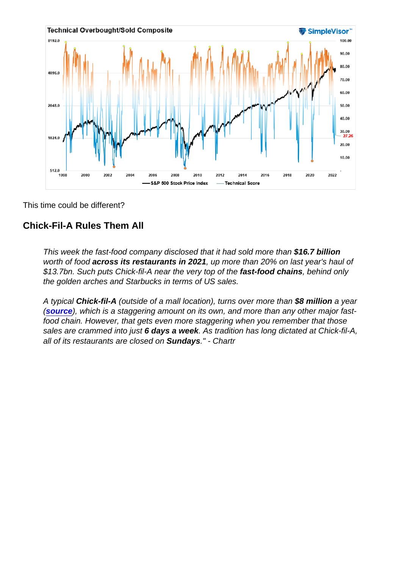This time could be different?

Chick-Fil-A Rules Them All

This week the fast-food company disclosed that it had sold more than \$16.7 billion worth of food across its restaurants in 2021 , up more than 20% on last year's haul of \$13.7bn. Such puts Chick-fil-A near the very top of the fast-food chains , behind only the golden arches and Starbucks in terms of US sales.

A typical Chick-fil-A (outside of a mall location), turns over more than \$8 million a year [\(source](https://chartr.us20.list-manage.com/track/click?u=05dafa9b4317774547b114632&id=08c00a2ff4&e=de7cf1bff8) ), which is a staggering amount on its own, and more than any other major fastfood chain. However, that gets even more staggering when you remember that those sales are crammed into just 6 days a week . As tradition has long dictated at Chick-fil-A, all of its restaurants are closed on Sundays ." - Chartr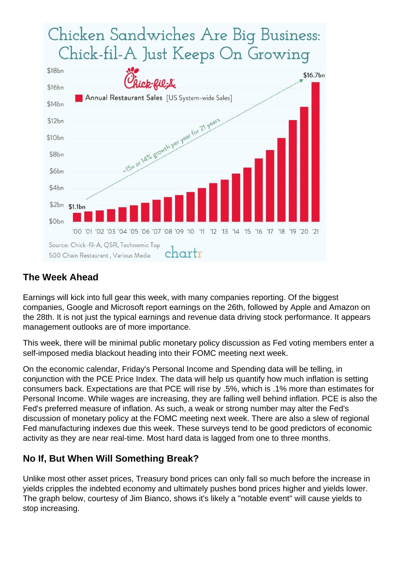### The Week Ahead

Earnings will kick into full gear this week, with many companies reporting. Of the biggest companies, Google and Microsoft report earnings on the 26th, followed by Apple and Amazon on the 28th. It is not just the typical earnings and revenue data driving stock performance. It appears management outlooks are of more importance.

This week, there will be minimal public monetary policy discussion as Fed voting members enter a self-imposed media blackout heading into their FOMC meeting next week.

On the economic calendar, Friday's Personal Income and Spending data will be telling, in conjunction with the PCE Price Index. The data will help us quantify how much inflation is setting consumers back. Expectations are that PCE will rise by .5%, which is .1% more than estimates for Personal Income. While wages are increasing, they are falling well behind inflation. PCE is also the Fed's preferred measure of inflation. As such, a weak or strong number may alter the Fed's discussion of monetary policy at the FOMC meeting next week. There are also a slew of regional Fed manufacturing indexes due this week. These surveys tend to be good predictors of economic activity as they are near real-time. Most hard data is lagged from one to three months.

### No If, But When Will Something Break?

Unlike most other asset prices, Treasury bond prices can only fall so much before the increase in yields cripples the indebted economy and ultimately pushes bond prices higher and yields lower. The graph below, courtesy of Jim Bianco, shows it's likely a "notable event" will cause yields to stop increasing.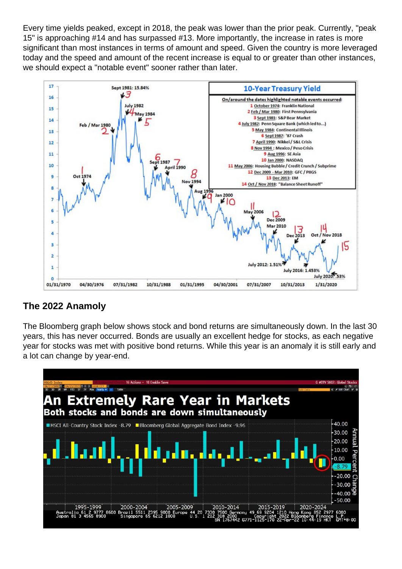Every time yields peaked, except in 2018, the peak was lower than the prior peak. Currently, "peak 15" is approaching #14 and has surpassed #13. More importantly, the increase in rates is more significant than most instances in terms of amount and speed. Given the country is more leveraged today and the speed and amount of the recent increase is equal to or greater than other instances, we should expect a "notable event" sooner rather than later.

# The 2022 Anamoly

The Bloomberg graph below shows stock and bond returns are simultaneously down. In the last 30 years, this has never occurred. Bonds are usually an excellent hedge for stocks, as each negative year for stocks was met with positive bond returns. While this year is an anomaly it is still early and a lot can change by year-end.